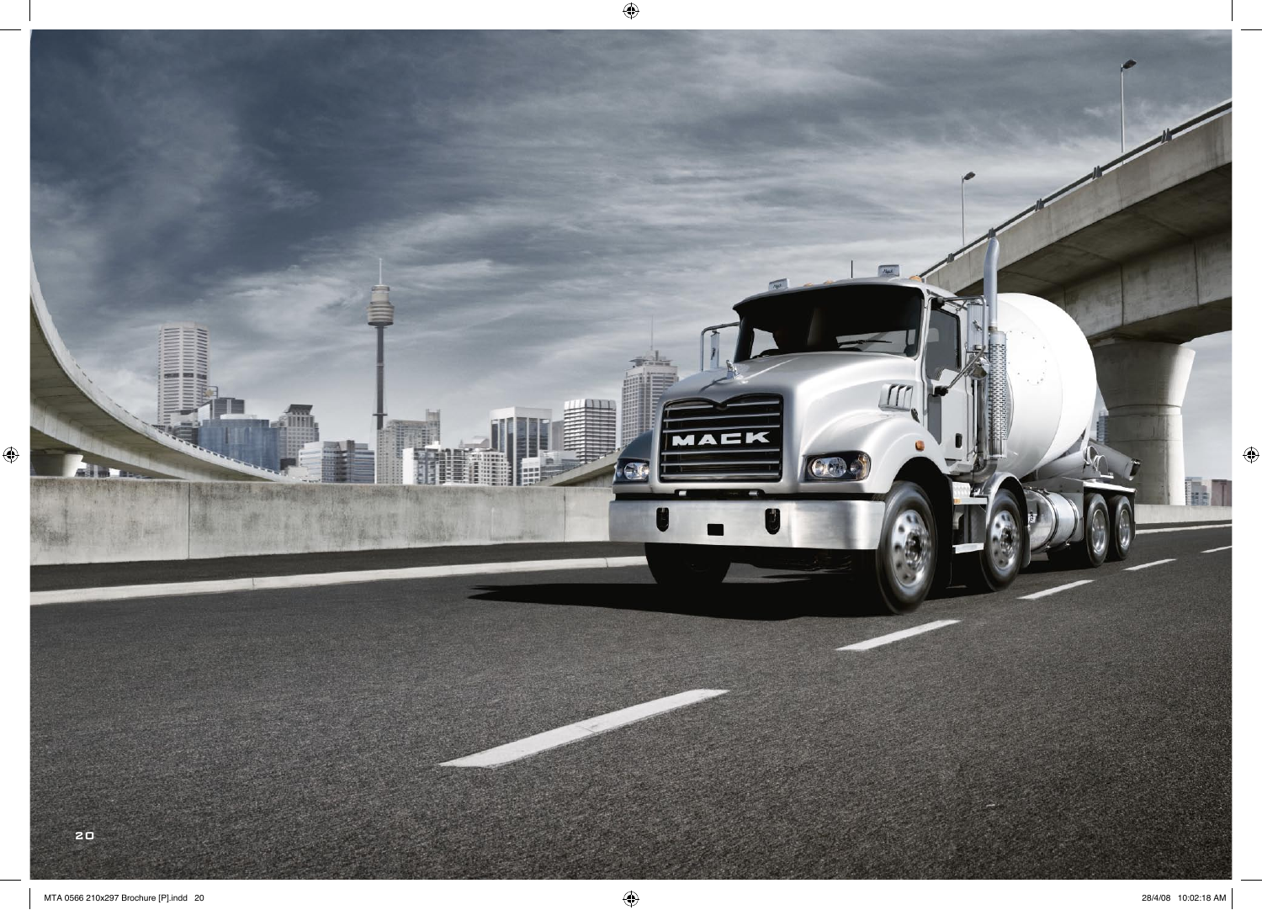